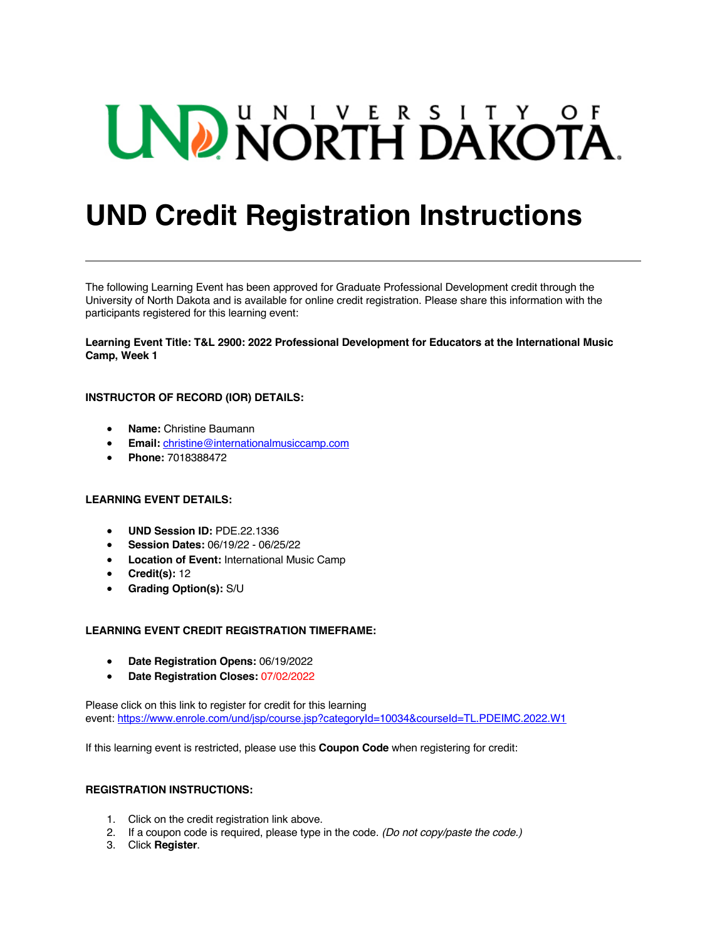# UND NORTH DAKOTA.

## **UND Credit Registration Instructions**

The following Learning Event has been approved for Graduate Professional Development credit through the University of North Dakota and is available for online credit registration. Please share this information with the participants registered for this learning event:

**Learning Event Title: T&L 2900: 2022 Professional Development for Educators at the International Music Camp, Week 1**

#### **INSTRUCTOR OF RECORD (IOR) DETAILS:**

- **Name:** Christine Baumann
- **Email:** christine@internationalmusiccamp.com
- **Phone:** 7018388472

#### **LEARNING EVENT DETAILS:**

- **UND Session ID:** PDE.22.1336
- **Session Dates:** 06/19/22 06/25/22
- **Location of Event:** International Music Camp
- **Credit(s):** 12
- **Grading Option(s):** S/U

#### **LEARNING EVENT CREDIT REGISTRATION TIMEFRAME:**

- **Date Registration Opens:** 06/19/2022
- **Date Registration Closes:** 07/02/2022

Please click on this link to register for credit for this learning event: https://www.enrole.com/und/jsp/course.jsp?categoryId=10034&courseId=TL.PDEIMC.2022.W1

If this learning event is restricted, please use this **Coupon Code** when registering for credit:

#### **REGISTRATION INSTRUCTIONS:**

- 1. Click on the credit registration link above.
- 2. If a coupon code is required, please type in the code. *(Do not copy/paste the code.)*
- 3. Click **Register**.